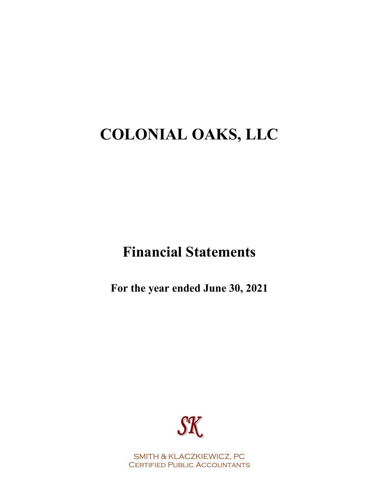## **Financial Statements**

**For the year ended June 30, 2021**



SMITH & KLACZKIEWICZ, PC **CERTIFIED PUBLIC ACCOUNTANTS**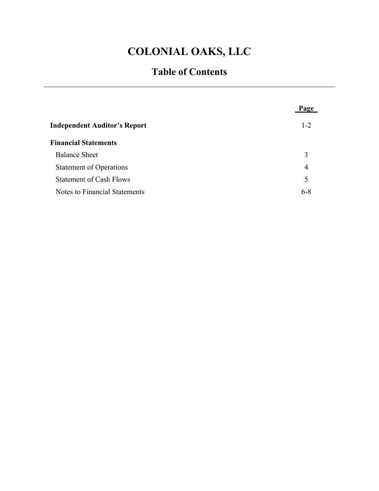## **Table of Contents**

|                                     | Page    |
|-------------------------------------|---------|
| <b>Independent Auditor's Report</b> | $1 - 2$ |
| <b>Financial Statements</b>         |         |
| <b>Balance Sheet</b>                | 3       |
| <b>Statement of Operations</b>      | 4       |
| <b>Statement of Cash Flows</b>      | 5       |
| Notes to Financial Statements       | 6-8     |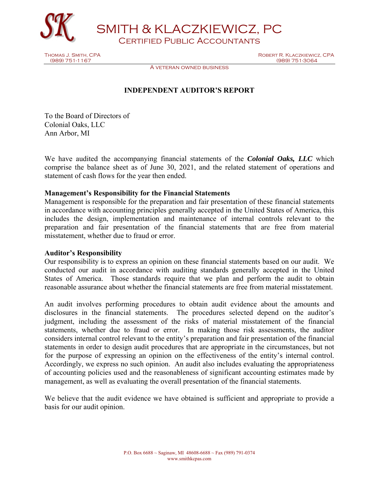

SMITH & KLACZKIEWICZ, PC Certified Public Accountants

Thomas J. Smith, CPA Robert R. Klaczkiewicz, CPA (989) 751-3064

A veteran owned business

#### **INDEPENDENT AUDITOR'S REPORT**

To the Board of Directors of Colonial Oaks, LLC Ann Arbor, MI

We have audited the accompanying financial statements of the *Colonial Oaks, LLC* which comprise the balance sheet as of June 30, 2021, and the related statement of operations and statement of cash flows for the year then ended.

#### **Management's Responsibility for the Financial Statements**

Management is responsible for the preparation and fair presentation of these financial statements in accordance with accounting principles generally accepted in the United States of America, this includes the design, implementation and maintenance of internal controls relevant to the preparation and fair presentation of the financial statements that are free from material misstatement, whether due to fraud or error.

#### **Auditor's Responsibility**

Our responsibility is to express an opinion on these financial statements based on our audit. We conducted our audit in accordance with auditing standards generally accepted in the United States of America. Those standards require that we plan and perform the audit to obtain reasonable assurance about whether the financial statements are free from material misstatement.

An audit involves performing procedures to obtain audit evidence about the amounts and disclosures in the financial statements. The procedures selected depend on the auditor's judgment, including the assessment of the risks of material misstatement of the financial statements, whether due to fraud or error. In making those risk assessments, the auditor considers internal control relevant to the entity's preparation and fair presentation of the financial statements in order to design audit procedures that are appropriate in the circumstances, but not for the purpose of expressing an opinion on the effectiveness of the entity's internal control. Accordingly, we express no such opinion. An audit also includes evaluating the appropriateness of accounting policies used and the reasonableness of significant accounting estimates made by management, as well as evaluating the overall presentation of the financial statements.

We believe that the audit evidence we have obtained is sufficient and appropriate to provide a basis for our audit opinion.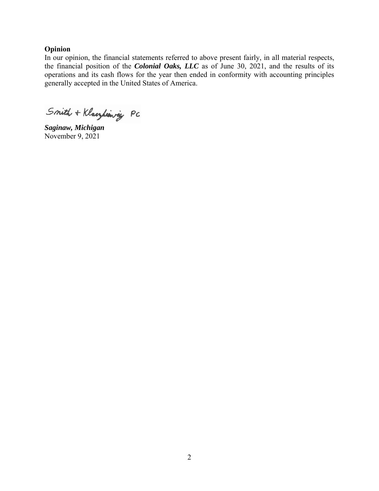#### **Opinion**

In our opinion, the financial statements referred to above present fairly, in all material respects, the financial position of the *Colonial Oaks, LLC* as of June 30, 2021, and the results of its operations and its cash flows for the year then ended in conformity with accounting principles generally accepted in the United States of America.

Smith + Klacyhiavic PC

*Saginaw, Michigan*  November 9, 2021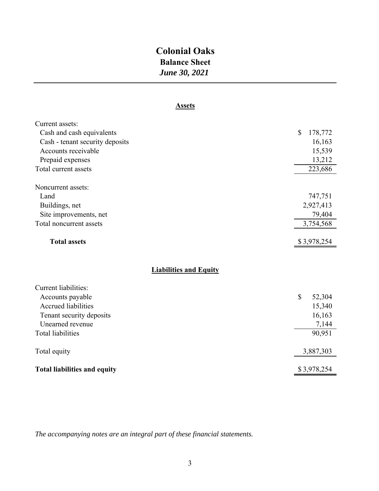### **Colonial Oaks Balance Sheet** *June 30, 2021*

| <b>Assets</b>                       |                         |
|-------------------------------------|-------------------------|
| Current assets:                     |                         |
| Cash and cash equivalents           | $\mathbb{S}$<br>178,772 |
| Cash - tenant security deposits     | 16,163                  |
| Accounts receivable                 | 15,539                  |
| Prepaid expenses                    | 13,212                  |
| Total current assets                | 223,686                 |
| Noncurrent assets:                  |                         |
| Land                                | 747,751                 |
| Buildings, net                      | 2,927,413               |
| Site improvements, net              | 79,404                  |
| Total noncurrent assets             | 3,754,568               |
| <b>Total assets</b>                 | \$3,978,254             |
| <b>Liabilities and Equity</b>       |                         |
| <b>Current liabilities:</b>         |                         |
| Accounts payable                    | $\mathbb{S}$<br>52,304  |
| <b>Accrued liabilities</b>          | 15,340                  |
| Tenant security deposits            | 16,163                  |
| Unearned revenue                    | 7,144                   |
| <b>Total liabilities</b>            | 90,951                  |
| Total equity                        | 3,887,303               |
| <b>Total liabilities and equity</b> | \$3,978,254             |

*The accompanying notes are an integral part of these financial statements.*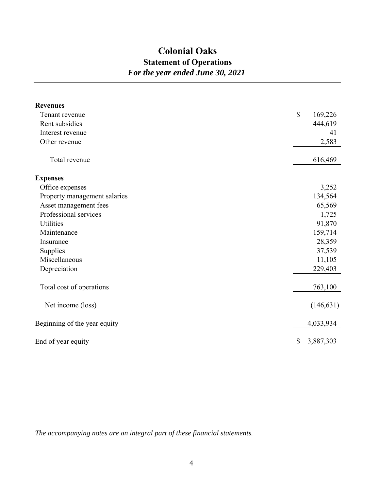### **Colonial Oaks Statement of Operations** *For the year ended June 30, 2021*

| <b>Revenues</b>              |                 |
|------------------------------|-----------------|
| Tenant revenue               | \$<br>169,226   |
| Rent subsidies               | 444,619         |
| Interest revenue             | 41              |
| Other revenue                | 2,583           |
| Total revenue                | 616,469         |
| <b>Expenses</b>              |                 |
| Office expenses              | 3,252           |
| Property management salaries | 134,564         |
| Asset management fees        | 65,569          |
| Professional services        | 1,725           |
| <b>Utilities</b>             | 91,870          |
| Maintenance                  | 159,714         |
| Insurance                    | 28,359          |
| Supplies                     | 37,539          |
| Miscellaneous                | 11,105          |
| Depreciation                 | 229,403         |
| Total cost of operations     | 763,100         |
| Net income (loss)            | (146, 631)      |
| Beginning of the year equity | 4,033,934       |
| End of year equity           | \$<br>3,887,303 |

*The accompanying notes are an integral part of these financial statements.*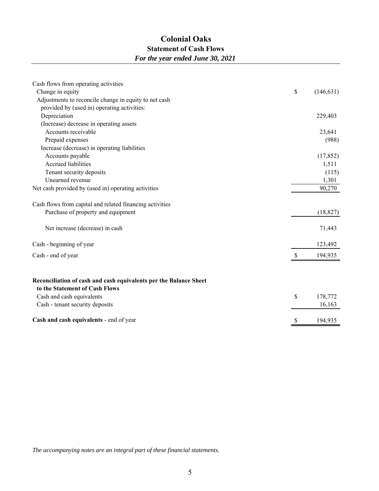#### **Colonial Oaks Statement of Cash Flows** *For the year ended June 30, 2021*

| Cash flows from operating activities                                                                |                  |
|-----------------------------------------------------------------------------------------------------|------------------|
| Change in equity                                                                                    | \$<br>(146, 631) |
| Adjustments to reconcile change in equity to net cash                                               |                  |
| provided by (used in) operating activities:                                                         |                  |
| Depreciation                                                                                        | 229,403          |
| (Increase) decrease in operating assets                                                             |                  |
| Accounts receivable                                                                                 | 23,641           |
| Prepaid expenses                                                                                    | (988)            |
| Increase (decrease) in operating liabilities                                                        |                  |
| Accounts payable                                                                                    | (17, 852)        |
| <b>Accrued</b> liabilities                                                                          | 1,511            |
| Tenant security deposits                                                                            | (115)            |
| Unearned revenue                                                                                    | 1,301            |
| Net cash provided by (used in) operating activities                                                 | 90,270           |
| Cash flows from capital and related financing activities                                            |                  |
| Purchase of property and equipment                                                                  | (18, 827)        |
| Net increase (decrease) in cash                                                                     | 71,443           |
| Cash - beginning of year                                                                            | 123,492          |
| Cash - end of year                                                                                  | 194,935          |
| Reconciliation of cash and cash equivalents per the Balance Sheet<br>to the Statement of Cash Flows |                  |
| Cash and cash equivalents                                                                           | \$<br>178,772    |
| Cash - tenant security deposits                                                                     | 16,163           |
| Cash and cash equivalents - end of year                                                             | \$<br>194,935    |

*The accompanying notes are an integral part of these financial statements.*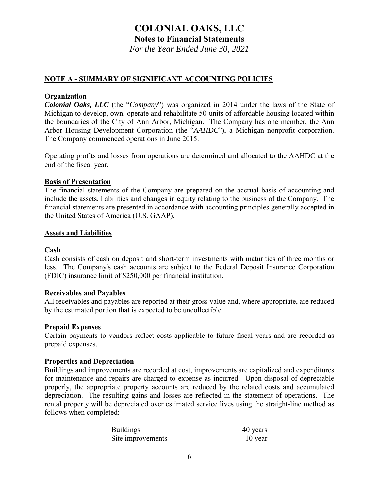**Notes to Financial Statements** 

*For the Year Ended June 30, 2021* 

#### **NOTE A - SUMMARY OF SIGNIFICANT ACCOUNTING POLICIES**

#### **Organization**

*Colonial Oaks, LLC* (the "*Company*") was organized in 2014 under the laws of the State of Michigan to develop, own, operate and rehabilitate 50-units of affordable housing located within the boundaries of the City of Ann Arbor, Michigan. The Company has one member, the Ann Arbor Housing Development Corporation (the "*AAHDC*"), a Michigan nonprofit corporation. The Company commenced operations in June 2015.

Operating profits and losses from operations are determined and allocated to the AAHDC at the end of the fiscal year.

#### **Basis of Presentation**

The financial statements of the Company are prepared on the accrual basis of accounting and include the assets, liabilities and changes in equity relating to the business of the Company. The financial statements are presented in accordance with accounting principles generally accepted in the United States of America (U.S. GAAP).

#### **Assets and Liabilities**

#### **Cash**

Cash consists of cash on deposit and short-term investments with maturities of three months or less. The Company's cash accounts are subject to the Federal Deposit Insurance Corporation (FDIC) insurance limit of \$250,000 per financial institution.

#### **Receivables and Payables**

All receivables and payables are reported at their gross value and, where appropriate, are reduced by the estimated portion that is expected to be uncollectible.

#### **Prepaid Expenses**

Certain payments to vendors reflect costs applicable to future fiscal years and are recorded as prepaid expenses.

#### **Properties and Depreciation**

Buildings and improvements are recorded at cost, improvements are capitalized and expenditures for maintenance and repairs are charged to expense as incurred. Upon disposal of depreciable properly, the appropriate property accounts are reduced by the related costs and accumulated depreciation. The resulting gains and losses are reflected in the statement of operations. The rental property will be depreciated over estimated service lives using the straight-line method as follows when completed:

| <b>Buildings</b>  | 40 years |
|-------------------|----------|
| Site improvements | 10 year  |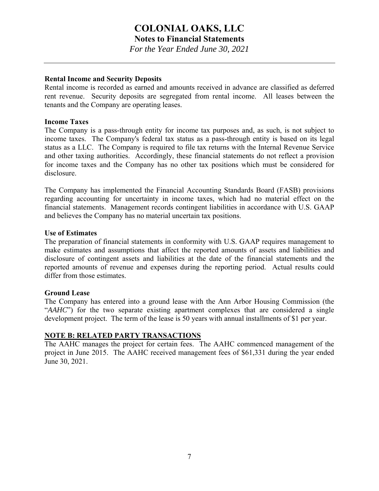#### **Notes to Financial Statements**

*For the Year Ended June 30, 2021* 

#### **Rental Income and Security Deposits**

Rental income is recorded as earned and amounts received in advance are classified as deferred rent revenue. Security deposits are segregated from rental income. All leases between the tenants and the Company are operating leases.

#### **Income Taxes**

The Company is a pass-through entity for income tax purposes and, as such, is not subject to income taxes. The Company's federal tax status as a pass-through entity is based on its legal status as a LLC. The Company is required to file tax returns with the Internal Revenue Service and other taxing authorities. Accordingly, these financial statements do not reflect a provision for income taxes and the Company has no other tax positions which must be considered for disclosure.

The Company has implemented the Financial Accounting Standards Board (FASB) provisions regarding accounting for uncertainty in income taxes, which had no material effect on the financial statements. Management records contingent liabilities in accordance with U.S. GAAP and believes the Company has no material uncertain tax positions.

#### **Use of Estimates**

The preparation of financial statements in conformity with U.S. GAAP requires management to make estimates and assumptions that affect the reported amounts of assets and liabilities and disclosure of contingent assets and liabilities at the date of the financial statements and the reported amounts of revenue and expenses during the reporting period. Actual results could differ from those estimates.

#### **Ground Lease**

The Company has entered into a ground lease with the Ann Arbor Housing Commission (the "*AAHC*") for the two separate existing apartment complexes that are considered a single development project. The term of the lease is 50 years with annual installments of \$1 per year.

#### **NOTE B: RELATED PARTY TRANSACTIONS**

The AAHC manages the project for certain fees. The AAHC commenced management of the project in June 2015. The AAHC received management fees of \$61,331 during the year ended June 30, 2021.